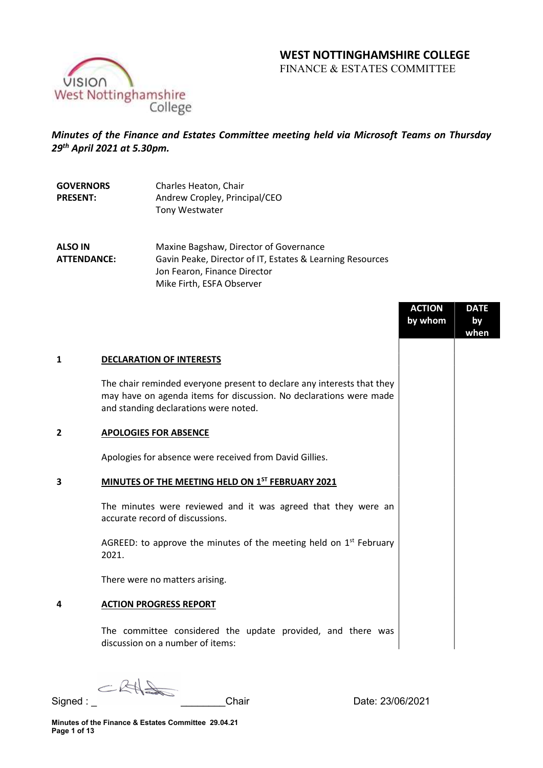# WEST NOTTINGHAMSHIRE COLLEGE

FINANCE & ESTATES COMMITTEE



## Minutes of the Finance and Estates Committee meeting held via Microsoft Teams on Thursday 29th April 2021 at 5.30pm.

| <b>GOVERNORS</b> | Charles Heaton, Chair         |
|------------------|-------------------------------|
| <b>PRESENT:</b>  | Andrew Cropley, Principal/CEO |
|                  | Tony Westwater                |

ALSO IN ATTENDANCE: Maxine Bagshaw, Director of Governance Gavin Peake, Director of IT, Estates & Learning Resources Jon Fearon, Finance Director Mike Firth, ESFA Observer

|                |                                                                                                                                                                                       | <b>ACTION</b><br>by whom | <b>DATE</b><br>by<br>when |
|----------------|---------------------------------------------------------------------------------------------------------------------------------------------------------------------------------------|--------------------------|---------------------------|
| 1              | <b>DECLARATION OF INTERESTS</b>                                                                                                                                                       |                          |                           |
|                | The chair reminded everyone present to declare any interests that they<br>may have on agenda items for discussion. No declarations were made<br>and standing declarations were noted. |                          |                           |
| $\overline{2}$ | <b>APOLOGIES FOR ABSENCE</b>                                                                                                                                                          |                          |                           |
|                | Apologies for absence were received from David Gillies.                                                                                                                               |                          |                           |
| 3              | MINUTES OF THE MEETING HELD ON 1ST FEBRUARY 2021                                                                                                                                      |                          |                           |
|                | The minutes were reviewed and it was agreed that they were an<br>accurate record of discussions.                                                                                      |                          |                           |
|                | AGREED: to approve the minutes of the meeting held on $1st$ February<br>2021.                                                                                                         |                          |                           |
|                | There were no matters arising.                                                                                                                                                        |                          |                           |
| 4              | <b>ACTION PROGRESS REPORT</b>                                                                                                                                                         |                          |                           |
|                | The committee considered the update provided, and there was<br>discussion on a number of items:                                                                                       |                          |                           |

CRHS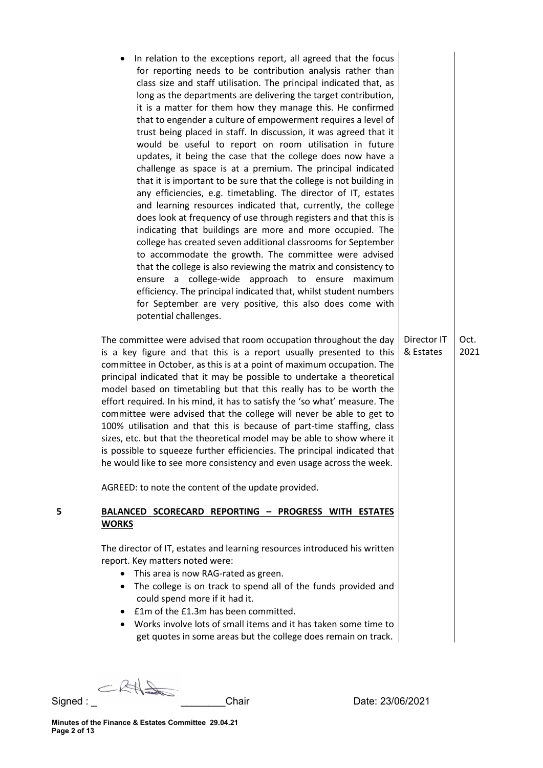In relation to the exceptions report, all agreed that the focus for reporting needs to be contribution analysis rather than class size and staff utilisation. The principal indicated that, as long as the departments are delivering the target contribution, it is a matter for them how they manage this. He confirmed that to engender a culture of empowerment requires a level of trust being placed in staff. In discussion, it was agreed that it would be useful to report on room utilisation in future updates, it being the case that the college does now have a challenge as space is at a premium. The principal indicated that it is important to be sure that the college is not building in any efficiencies, e.g. timetabling. The director of IT, estates and learning resources indicated that, currently, the college does look at frequency of use through registers and that this is indicating that buildings are more and more occupied. The college has created seven additional classrooms for September to accommodate the growth. The committee were advised that the college is also reviewing the matrix and consistency to ensure a college-wide approach to ensure maximum efficiency. The principal indicated that, whilst student numbers for September are very positive, this also does come with potential challenges.

The committee were advised that room occupation throughout the day is a key figure and that this is a report usually presented to this committee in October, as this is at a point of maximum occupation. The principal indicated that it may be possible to undertake a theoretical model based on timetabling but that this really has to be worth the effort required. In his mind, it has to satisfy the 'so what' measure. The committee were advised that the college will never be able to get to 100% utilisation and that this is because of part-time staffing, class sizes, etc. but that the theoretical model may be able to show where it is possible to squeeze further efficiencies. The principal indicated that he would like to see more consistency and even usage across the week.

AGREED: to note the content of the update provided.

## 5 BALANCED SCORECARD REPORTING – PROGRESS WITH ESTATES **WORKS**

The director of IT, estates and learning resources introduced his written report. Key matters noted were:

- This area is now RAG-rated as green.
- The college is on track to spend all of the funds provided and could spend more if it had it.
- £1m of the £1.3m has been committed.
- Works involve lots of small items and it has taken some time to get quotes in some areas but the college does remain on track.

CRAS

Signed : \_ \_\_\_\_\_\_\_\_Chair Date: 23/06/2021

Director IT & Estates Oct. 2021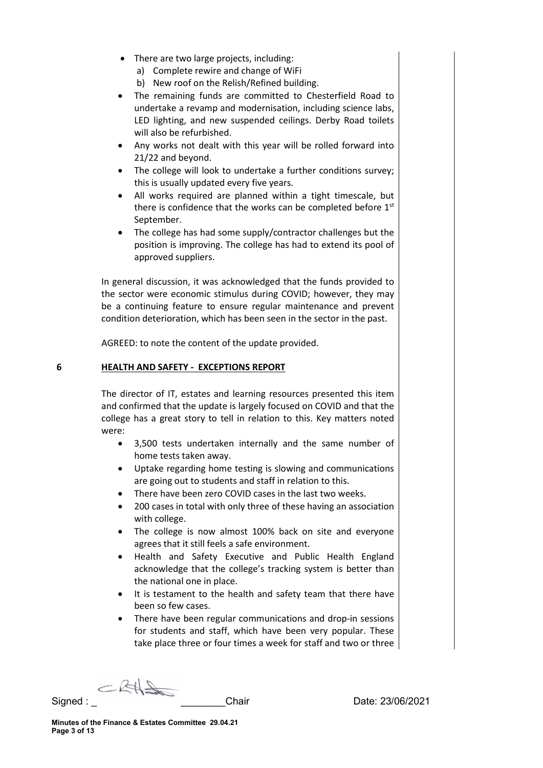- There are two large projects, including:
	- a) Complete rewire and change of WiFi
	- b) New roof on the Relish/Refined building.
- The remaining funds are committed to Chesterfield Road to undertake a revamp and modernisation, including science labs, LED lighting, and new suspended ceilings. Derby Road toilets will also be refurbished.
- Any works not dealt with this year will be rolled forward into 21/22 and beyond.
- The college will look to undertake a further conditions survey; this is usually updated every five years.
- All works required are planned within a tight timescale, but there is confidence that the works can be completed before  $1<sup>st</sup>$ September.
- The college has had some supply/contractor challenges but the position is improving. The college has had to extend its pool of approved suppliers.

In general discussion, it was acknowledged that the funds provided to the sector were economic stimulus during COVID; however, they may be a continuing feature to ensure regular maintenance and prevent condition deterioration, which has been seen in the sector in the past.

AGREED: to note the content of the update provided.

#### 6 HEALTH AND SAFETY - EXCEPTIONS REPORT

The director of IT, estates and learning resources presented this item and confirmed that the update is largely focused on COVID and that the college has a great story to tell in relation to this. Key matters noted were:

- 3,500 tests undertaken internally and the same number of home tests taken away.
- Uptake regarding home testing is slowing and communications are going out to students and staff in relation to this.
- There have been zero COVID cases in the last two weeks.
- 200 cases in total with only three of these having an association with college.
- The college is now almost 100% back on site and everyone agrees that it still feels a safe environment.
- Health and Safety Executive and Public Health England acknowledge that the college's tracking system is better than the national one in place.
- It is testament to the health and safety team that there have been so few cases.
- There have been regular communications and drop-in sessions for students and staff, which have been very popular. These take place three or four times a week for staff and two or three

CRAS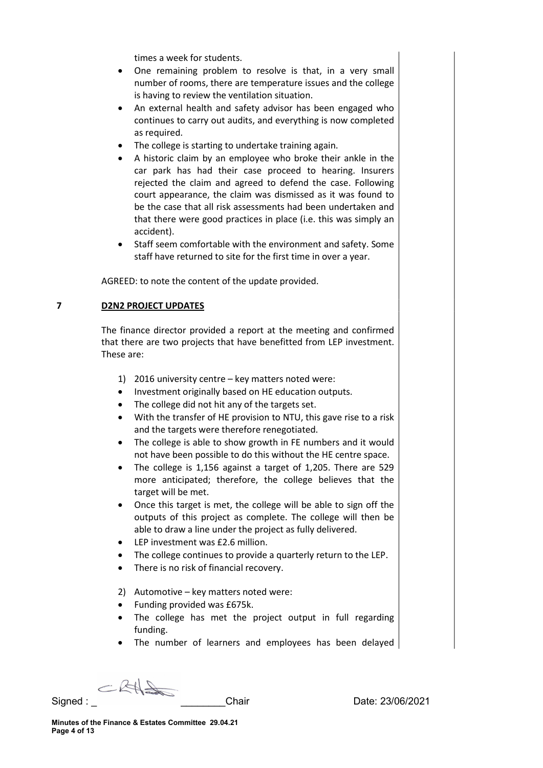times a week for students.

- One remaining problem to resolve is that, in a very small number of rooms, there are temperature issues and the college is having to review the ventilation situation.
- An external health and safety advisor has been engaged who continues to carry out audits, and everything is now completed as required.
- The college is starting to undertake training again.
- A historic claim by an employee who broke their ankle in the car park has had their case proceed to hearing. Insurers rejected the claim and agreed to defend the case. Following court appearance, the claim was dismissed as it was found to be the case that all risk assessments had been undertaken and that there were good practices in place (i.e. this was simply an accident).
- Staff seem comfortable with the environment and safety. Some staff have returned to site for the first time in over a year.

AGREED: to note the content of the update provided.

### 7 D2N2 PROJECT UPDATES

The finance director provided a report at the meeting and confirmed that there are two projects that have benefitted from LEP investment. These are:

- 1) 2016 university centre key matters noted were:
- Investment originally based on HE education outputs.
- The college did not hit any of the targets set.
- With the transfer of HE provision to NTU, this gave rise to a risk and the targets were therefore renegotiated.
- The college is able to show growth in FE numbers and it would not have been possible to do this without the HE centre space.
- The college is 1,156 against a target of 1,205. There are 529 more anticipated; therefore, the college believes that the target will be met.
- Once this target is met, the college will be able to sign off the outputs of this project as complete. The college will then be able to draw a line under the project as fully delivered.
- LEP investment was £2.6 million.
- The college continues to provide a quarterly return to the LEP.
- There is no risk of financial recovery.
- 2) Automotive key matters noted were:
- Funding provided was £675k.
- The college has met the project output in full regarding funding.
- The number of learners and employees has been delayed

 $-RA$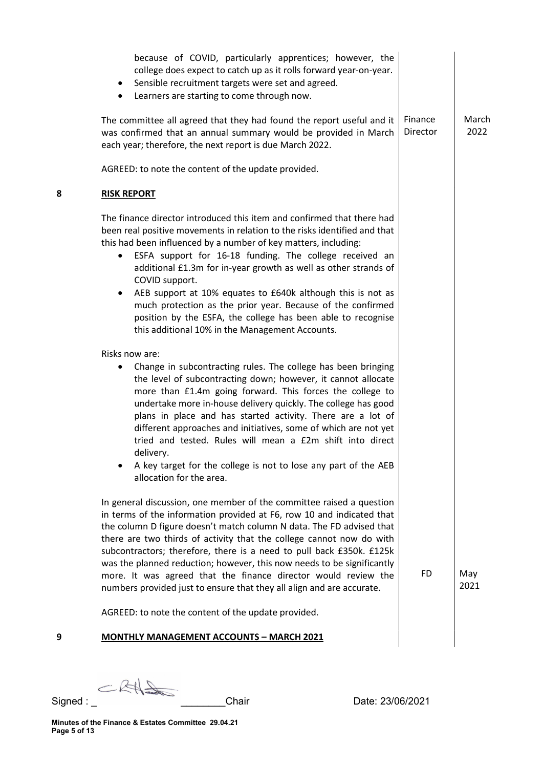| $\bullet$                   | because of COVID, particularly apprentices; however, the<br>college does expect to catch up as it rolls forward year-on-year.<br>Sensible recruitment targets were set and agreed.<br>Learners are starting to come through now.                                                                                                                                                                                                                                                                                                                                                                                                                                                                                                                                                                                                                             |                     |               |
|-----------------------------|--------------------------------------------------------------------------------------------------------------------------------------------------------------------------------------------------------------------------------------------------------------------------------------------------------------------------------------------------------------------------------------------------------------------------------------------------------------------------------------------------------------------------------------------------------------------------------------------------------------------------------------------------------------------------------------------------------------------------------------------------------------------------------------------------------------------------------------------------------------|---------------------|---------------|
|                             | The committee all agreed that they had found the report useful and it<br>was confirmed that an annual summary would be provided in March<br>each year; therefore, the next report is due March 2022.                                                                                                                                                                                                                                                                                                                                                                                                                                                                                                                                                                                                                                                         | Finance<br>Director | March<br>2022 |
|                             | AGREED: to note the content of the update provided.                                                                                                                                                                                                                                                                                                                                                                                                                                                                                                                                                                                                                                                                                                                                                                                                          |                     |               |
| 8<br><b>RISK REPORT</b>     |                                                                                                                                                                                                                                                                                                                                                                                                                                                                                                                                                                                                                                                                                                                                                                                                                                                              |                     |               |
| COVID support.              | The finance director introduced this item and confirmed that there had<br>been real positive movements in relation to the risks identified and that<br>this had been influenced by a number of key matters, including:<br>ESFA support for 16-18 funding. The college received an<br>additional £1.3m for in-year growth as well as other strands of<br>AEB support at 10% equates to £640k although this is not as<br>much protection as the prior year. Because of the confirmed<br>position by the ESFA, the college has been able to recognise<br>this additional 10% in the Management Accounts.                                                                                                                                                                                                                                                        |                     |               |
| Risks now are:<br>delivery. | Change in subcontracting rules. The college has been bringing<br>the level of subcontracting down; however, it cannot allocate<br>more than £1.4m going forward. This forces the college to<br>undertake more in-house delivery quickly. The college has good<br>plans in place and has started activity. There are a lot of<br>different approaches and initiatives, some of which are not yet<br>tried and tested. Rules will mean a £2m shift into direct<br>A key target for the college is not to lose any part of the AEB<br>allocation for the area.<br>In general discussion, one member of the committee raised a question<br>in terms of the information provided at F6, row 10 and indicated that<br>the column D figure doesn't match column N data. The FD advised that<br>there are two thirds of activity that the college cannot now do with |                     |               |
|                             | subcontractors; therefore, there is a need to pull back £350k. £125k<br>was the planned reduction; however, this now needs to be significantly<br>more. It was agreed that the finance director would review the<br>numbers provided just to ensure that they all align and are accurate.                                                                                                                                                                                                                                                                                                                                                                                                                                                                                                                                                                    | <b>FD</b>           | May<br>2021   |
|                             | AGREED: to note the content of the update provided.                                                                                                                                                                                                                                                                                                                                                                                                                                                                                                                                                                                                                                                                                                                                                                                                          |                     |               |
| 9                           | <b>MONTHLY MANAGEMENT ACCOUNTS - MARCH 2021</b>                                                                                                                                                                                                                                                                                                                                                                                                                                                                                                                                                                                                                                                                                                                                                                                                              |                     |               |

CRHS

Signed : \_ \_\_\_\_\_\_\_\_Chair Date: 23/06/2021

Minutes of the Finance & Estates Committee 29.04.21 Page 5 of 13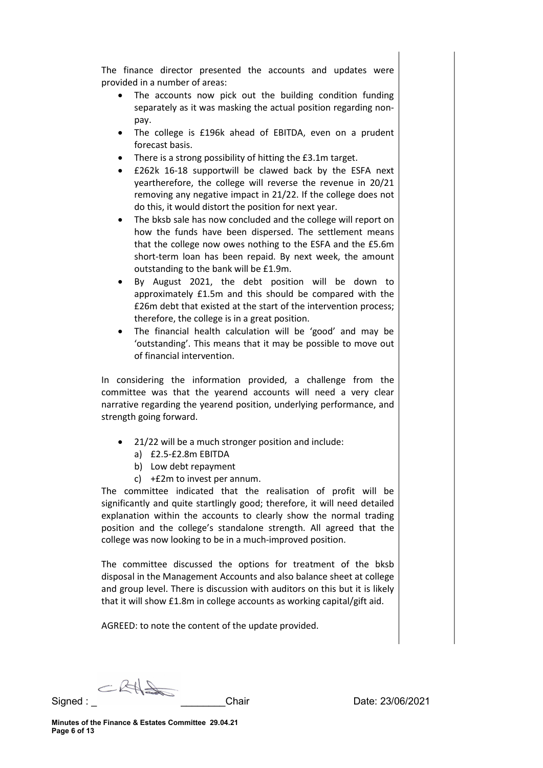The finance director presented the accounts and updates were provided in a number of areas:

- The accounts now pick out the building condition funding separately as it was masking the actual position regarding nonpay.
- The college is £196k ahead of EBITDA, even on a prudent forecast basis.
- There is a strong possibility of hitting the £3.1m target.
- £262k 16-18 supportwill be clawed back by the ESFA next yeartherefore, the college will reverse the revenue in 20/21 removing any negative impact in 21/22. If the college does not do this, it would distort the position for next year.
- The bksb sale has now concluded and the college will report on how the funds have been dispersed. The settlement means that the college now owes nothing to the ESFA and the £5.6m short-term loan has been repaid. By next week, the amount outstanding to the bank will be £1.9m.
- By August 2021, the debt position will be down to approximately £1.5m and this should be compared with the £26m debt that existed at the start of the intervention process; therefore, the college is in a great position.
- The financial health calculation will be 'good' and may be 'outstanding'. This means that it may be possible to move out of financial intervention.

In considering the information provided, a challenge from the committee was that the yearend accounts will need a very clear narrative regarding the yearend position, underlying performance, and strength going forward.

- 21/22 will be a much stronger position and include:
	- a) £2.5-£2.8m EBITDA
	- b) Low debt repayment
	- c) +£2m to invest per annum.

The committee indicated that the realisation of profit will be significantly and quite startlingly good; therefore, it will need detailed explanation within the accounts to clearly show the normal trading position and the college's standalone strength. All agreed that the college was now looking to be in a much-improved position.

The committee discussed the options for treatment of the bksb disposal in the Management Accounts and also balance sheet at college and group level. There is discussion with auditors on this but it is likely that it will show £1.8m in college accounts as working capital/gift aid.

AGREED: to note the content of the update provided.

CRAS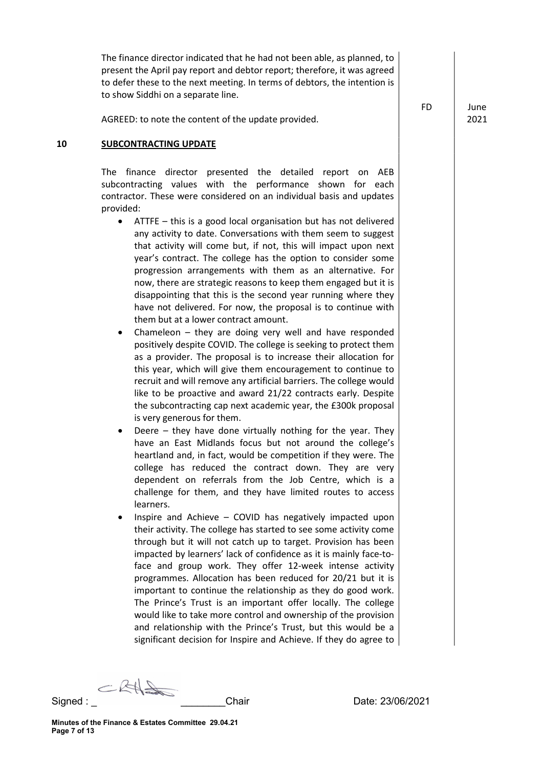The finance director indicated that he had not been able, as planned, to present the April pay report and debtor report; therefore, it was agreed to defer these to the next meeting. In terms of debtors, the intention is to show Siddhi on a separate line.

AGREED: to note the content of the update provided.

FD June

2021

#### 10 SUBCONTRACTING UPDATE

The finance director presented the detailed report on AEB subcontracting values with the performance shown for each contractor. These were considered on an individual basis and updates provided:

- ATTFE this is a good local organisation but has not delivered any activity to date. Conversations with them seem to suggest that activity will come but, if not, this will impact upon next year's contract. The college has the option to consider some progression arrangements with them as an alternative. For now, there are strategic reasons to keep them engaged but it is disappointing that this is the second year running where they have not delivered. For now, the proposal is to continue with them but at a lower contract amount.
- Chameleon they are doing very well and have responded positively despite COVID. The college is seeking to protect them as a provider. The proposal is to increase their allocation for this year, which will give them encouragement to continue to recruit and will remove any artificial barriers. The college would like to be proactive and award 21/22 contracts early. Despite the subcontracting cap next academic year, the £300k proposal is very generous for them.
- Deere they have done virtually nothing for the year. They have an East Midlands focus but not around the college's heartland and, in fact, would be competition if they were. The college has reduced the contract down. They are very dependent on referrals from the Job Centre, which is a challenge for them, and they have limited routes to access learners.
- Inspire and Achieve COVID has negatively impacted upon their activity. The college has started to see some activity come through but it will not catch up to target. Provision has been impacted by learners' lack of confidence as it is mainly face-toface and group work. They offer 12-week intense activity programmes. Allocation has been reduced for 20/21 but it is important to continue the relationship as they do good work. The Prince's Trust is an important offer locally. The college would like to take more control and ownership of the provision and relationship with the Prince's Trust, but this would be a significant decision for Inspire and Achieve. If they do agree to

CRA

Signed : \_ \_\_\_\_\_\_\_\_Chair Date: 23/06/2021

Minutes of the Finance & Estates Committee 29.04.21 Page 7 of 13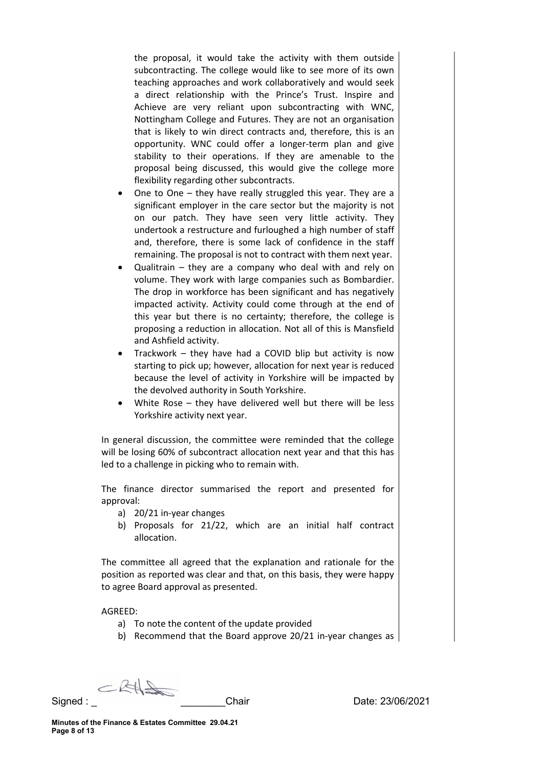the proposal, it would take the activity with them outside subcontracting. The college would like to see more of its own teaching approaches and work collaboratively and would seek a direct relationship with the Prince's Trust. Inspire and Achieve are very reliant upon subcontracting with WNC, Nottingham College and Futures. They are not an organisation that is likely to win direct contracts and, therefore, this is an opportunity. WNC could offer a longer-term plan and give stability to their operations. If they are amenable to the proposal being discussed, this would give the college more flexibility regarding other subcontracts.

- One to One they have really struggled this year. They are a significant employer in the care sector but the majority is not on our patch. They have seen very little activity. They undertook a restructure and furloughed a high number of staff and, therefore, there is some lack of confidence in the staff remaining. The proposal is not to contract with them next year.
- Qualitrain they are a company who deal with and rely on volume. They work with large companies such as Bombardier. The drop in workforce has been significant and has negatively impacted activity. Activity could come through at the end of this year but there is no certainty; therefore, the college is proposing a reduction in allocation. Not all of this is Mansfield and Ashfield activity.
- Trackwork they have had a COVID blip but activity is now starting to pick up; however, allocation for next year is reduced because the level of activity in Yorkshire will be impacted by the devolved authority in South Yorkshire.
- White Rose they have delivered well but there will be less Yorkshire activity next year.

In general discussion, the committee were reminded that the college will be losing 60% of subcontract allocation next year and that this has led to a challenge in picking who to remain with.

The finance director summarised the report and presented for approval:

- a) 20/21 in-year changes
- b) Proposals for 21/22, which are an initial half contract allocation.

The committee all agreed that the explanation and rationale for the position as reported was clear and that, on this basis, they were happy to agree Board approval as presented.

#### AGREED:

- a) To note the content of the update provided
- b) Recommend that the Board approve 20/21 in-year changes as

CRAS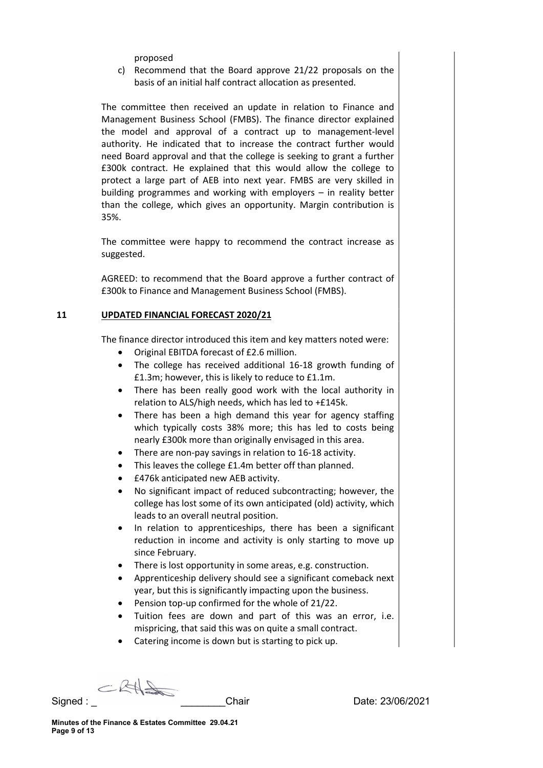proposed

c) Recommend that the Board approve 21/22 proposals on the basis of an initial half contract allocation as presented.

The committee then received an update in relation to Finance and Management Business School (FMBS). The finance director explained the model and approval of a contract up to management-level authority. He indicated that to increase the contract further would need Board approval and that the college is seeking to grant a further £300k contract. He explained that this would allow the college to protect a large part of AEB into next year. FMBS are very skilled in building programmes and working with employers – in reality better than the college, which gives an opportunity. Margin contribution is 35%.

The committee were happy to recommend the contract increase as suggested.

AGREED: to recommend that the Board approve a further contract of £300k to Finance and Management Business School (FMBS).

### 11 UPDATED FINANCIAL FORECAST 2020/21

The finance director introduced this item and key matters noted were:

- Original EBITDA forecast of £2.6 million.
- The college has received additional 16-18 growth funding of £1.3m; however, this is likely to reduce to £1.1m.
- There has been really good work with the local authority in relation to ALS/high needs, which has led to +£145k.
- There has been a high demand this year for agency staffing which typically costs 38% more; this has led to costs being nearly £300k more than originally envisaged in this area.
- There are non-pay savings in relation to 16-18 activity.
- This leaves the college £1.4m better off than planned.
- £476k anticipated new AEB activity.
- No significant impact of reduced subcontracting; however, the college has lost some of its own anticipated (old) activity, which leads to an overall neutral position.
- In relation to apprenticeships, there has been a significant reduction in income and activity is only starting to move up since February.
- There is lost opportunity in some areas, e.g. construction.
- Apprenticeship delivery should see a significant comeback next year, but this is significantly impacting upon the business.
- Pension top-up confirmed for the whole of 21/22.
- Tuition fees are down and part of this was an error, i.e. mispricing, that said this was on quite a small contract.
- Catering income is down but is starting to pick up.

CRA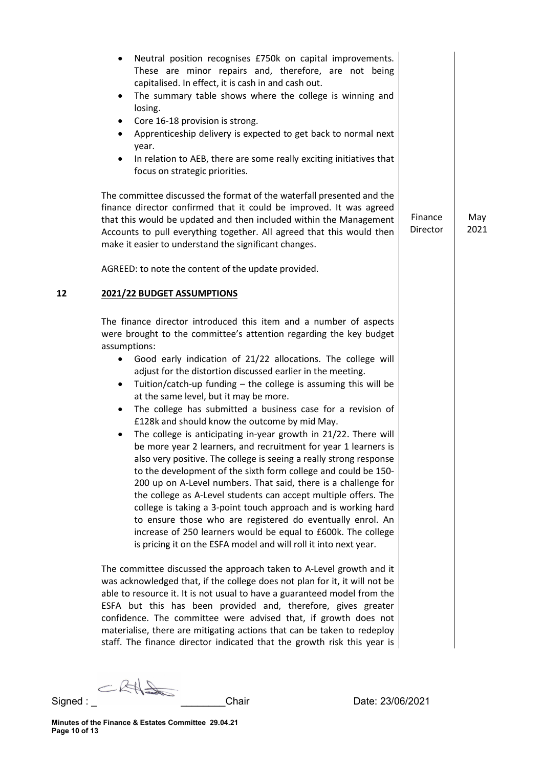|    | Neutral position recognises £750k on capital improvements.<br>$\bullet$<br>These are minor repairs and, therefore, are not being<br>capitalised. In effect, it is cash in and cash out.<br>The summary table shows where the college is winning and<br>$\bullet$<br>losing.<br>Core 16-18 provision is strong.<br>Apprenticeship delivery is expected to get back to normal next<br>year.<br>In relation to AEB, there are some really exciting initiatives that<br>focus on strategic priorities.                                                                                                                                                                                                                                                                                                                                                                                                                                                                                                                                                                                                                                                                                                                                    |                     |             |
|----|---------------------------------------------------------------------------------------------------------------------------------------------------------------------------------------------------------------------------------------------------------------------------------------------------------------------------------------------------------------------------------------------------------------------------------------------------------------------------------------------------------------------------------------------------------------------------------------------------------------------------------------------------------------------------------------------------------------------------------------------------------------------------------------------------------------------------------------------------------------------------------------------------------------------------------------------------------------------------------------------------------------------------------------------------------------------------------------------------------------------------------------------------------------------------------------------------------------------------------------|---------------------|-------------|
|    | The committee discussed the format of the waterfall presented and the<br>finance director confirmed that it could be improved. It was agreed<br>that this would be updated and then included within the Management<br>Accounts to pull everything together. All agreed that this would then<br>make it easier to understand the significant changes.                                                                                                                                                                                                                                                                                                                                                                                                                                                                                                                                                                                                                                                                                                                                                                                                                                                                                  | Finance<br>Director | May<br>2021 |
|    | AGREED: to note the content of the update provided.                                                                                                                                                                                                                                                                                                                                                                                                                                                                                                                                                                                                                                                                                                                                                                                                                                                                                                                                                                                                                                                                                                                                                                                   |                     |             |
| 12 | 2021/22 BUDGET ASSUMPTIONS                                                                                                                                                                                                                                                                                                                                                                                                                                                                                                                                                                                                                                                                                                                                                                                                                                                                                                                                                                                                                                                                                                                                                                                                            |                     |             |
|    | The finance director introduced this item and a number of aspects<br>were brought to the committee's attention regarding the key budget<br>assumptions:<br>Good early indication of 21/22 allocations. The college will<br>adjust for the distortion discussed earlier in the meeting.<br>Tuition/catch-up funding - the college is assuming this will be<br>$\bullet$<br>at the same level, but it may be more.<br>The college has submitted a business case for a revision of<br>$\bullet$<br>£128k and should know the outcome by mid May.<br>The college is anticipating in-year growth in 21/22. There will<br>be more year 2 learners, and recruitment for year 1 learners is<br>also very positive. The college is seeing a really strong response<br>to the development of the sixth form college and could be 150-<br>200 up on A-Level numbers. That said, there is a challenge for<br>the college as A-Level students can accept multiple offers. The<br>college is taking a 3-point touch approach and is working hard<br>to ensure those who are registered do eventually enrol. An<br>increase of 250 learners would be equal to £600k. The college<br>is pricing it on the ESFA model and will roll it into next year. |                     |             |
|    | The committee discussed the approach taken to A-Level growth and it<br>was acknowledged that, if the college does not plan for it, it will not be<br>able to resource it. It is not usual to have a guaranteed model from the<br>ESFA but this has been provided and, therefore, gives greater<br>confidence. The committee were advised that, if growth does not<br>materialise, there are mitigating actions that can be taken to redeploy<br>staff. The finance director indicated that the growth risk this year is                                                                                                                                                                                                                                                                                                                                                                                                                                                                                                                                                                                                                                                                                                               |                     |             |

 $CRH$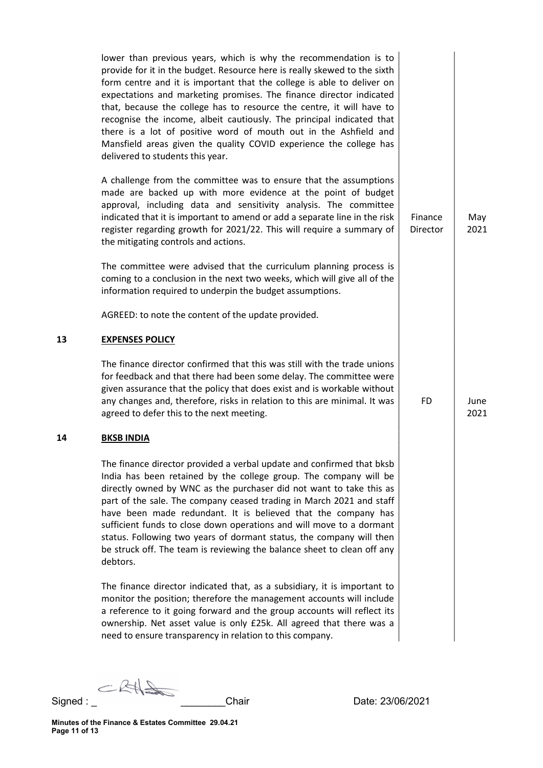lower than previous years, which is why the recommendation is to provide for it in the budget. Resource here is really skewed to the sixth form centre and it is important that the college is able to deliver on expectations and marketing promises. The finance director indicated that, because the college has to resource the centre, it will have to recognise the income, albeit cautiously. The principal indicated that there is a lot of positive word of mouth out in the Ashfield and Mansfield areas given the quality COVID experience the college has delivered to students this year. A challenge from the committee was to ensure that the assumptions made are backed up with more evidence at the point of budget approval, including data and sensitivity analysis. The committee indicated that it is important to amend or add a separate line in the risk register regarding growth for 2021/22. This will require a summary of the mitigating controls and actions. The committee were advised that the curriculum planning process is coming to a conclusion in the next two weeks, which will give all of the information required to underpin the budget assumptions. AGREED: to note the content of the update provided. Finance Director

### 13 EXPENSES POLICY

The finance director confirmed that this was still with the trade unions for feedback and that there had been some delay. The committee were given assurance that the policy that does exist and is workable without any changes and, therefore, risks in relation to this are minimal. It was agreed to defer this to the next meeting.

### 14 BKSB INDIA

The finance director provided a verbal update and confirmed that bksb India has been retained by the college group. The company will be directly owned by WNC as the purchaser did not want to take this as part of the sale. The company ceased trading in March 2021 and staff have been made redundant. It is believed that the company has sufficient funds to close down operations and will move to a dormant status. Following two years of dormant status, the company will then be struck off. The team is reviewing the balance sheet to clean off any debtors.

The finance director indicated that, as a subsidiary, it is important to monitor the position; therefore the management accounts will include a reference to it going forward and the group accounts will reflect its ownership. Net asset value is only £25k. All agreed that there was a need to ensure transparency in relation to this company.

CRAS

Signed : \_ \_\_\_\_\_\_\_\_Chair Date: 23/06/2021

May 2021

FD June

2021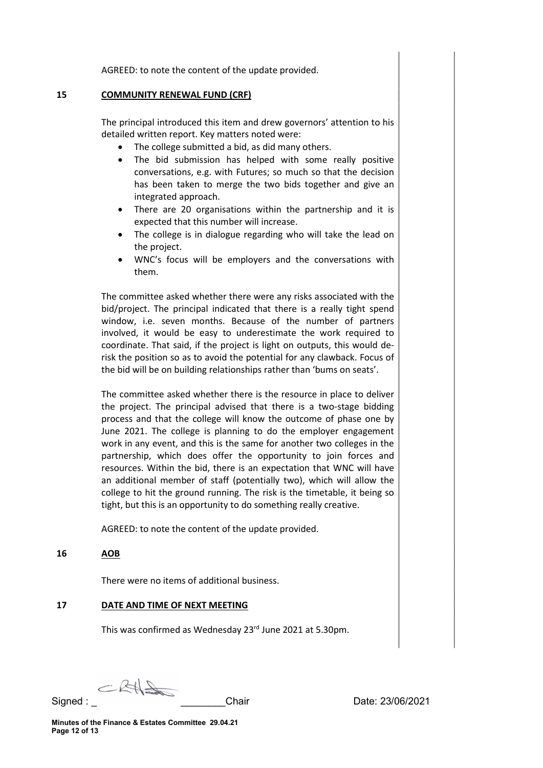AGREED: to note the content of the update provided.

#### 15 COMMUNITY RENEWAL FUND (CRF)

The principal introduced this item and drew governors' attention to his detailed written report. Key matters noted were:

- The college submitted a bid, as did many others.
- The bid submission has helped with some really positive conversations, e.g. with Futures; so much so that the decision has been taken to merge the two bids together and give an integrated approach.
- There are 20 organisations within the partnership and it is expected that this number will increase.
- The college is in dialogue regarding who will take the lead on the project.
- WNC's focus will be employers and the conversations with them.

The committee asked whether there were any risks associated with the bid/project. The principal indicated that there is a really tight spend window, i.e. seven months. Because of the number of partners involved, it would be easy to underestimate the work required to coordinate. That said, if the project is light on outputs, this would derisk the position so as to avoid the potential for any clawback. Focus of the bid will be on building relationships rather than 'bums on seats'.

The committee asked whether there is the resource in place to deliver the project. The principal advised that there is a two-stage bidding process and that the college will know the outcome of phase one by June 2021. The college is planning to do the employer engagement work in any event, and this is the same for another two colleges in the partnership, which does offer the opportunity to join forces and resources. Within the bid, there is an expectation that WNC will have an additional member of staff (potentially two), which will allow the college to hit the ground running. The risk is the timetable, it being so tight, but this is an opportunity to do something really creative.

AGREED: to note the content of the update provided.

16 AOB

There were no items of additional business.

### 17 DATE AND TIME OF NEXT MEETING

This was confirmed as Wednesday 23rd June 2021 at 5.30pm.

CRAS

Signed : \_ \_\_\_\_\_\_\_\_Chair Date: 23/06/2021

Minutes of the Finance & Estates Committee 29.04.21 Page 12 of 13